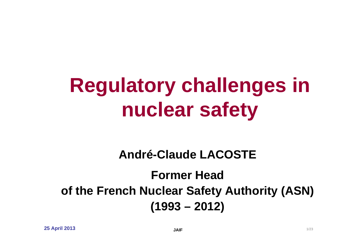# **Regulatory challenges in nuclear safety**

#### **André-Claude LACOSTE**

#### **Former Head of the French Nuclear Safety Authority (ASN) (1993 – 2012)**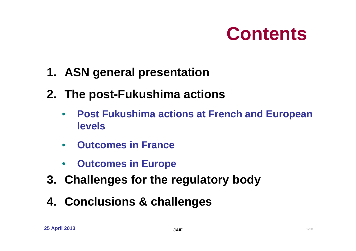

- **1. ASN general presentation**
- **2. The post-Fukushima actions**
	- $\bullet$  **Post Fukushima actions at French and European levels**
	- **Outcomes in France**
	- •**Outcomes in Europe**
- **3. Challenges for the regulatory body**
- **4. Conclusions & challenges**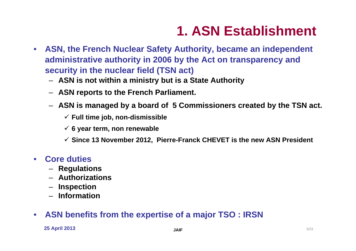## **1. ASN Establishment**

- **ASN, the French Nuclear Safety Authority, became an independent administrative authority in 2006 by the Act on transparency and security in the nuclear field (TSN act)**
	- **ASN is not within a ministry but is a State Authority**
	- **ASN reports to the French Parliament.**
	- **ASN is managed by a board of 5 Commissioners created by the TSN act.**
		- **Full time job, non-dismissible**
		- **6 year term, non renewable**
		- **Since 13 November 2012, Pierre-Franck CHEVET is the new ASN President**
- **Core duties**
	- **Regulations**
	- **Authorizations**
	- **Inspection**
	- **Information**
- •**ASN benefits from the expertise of a major TSO : IRSN**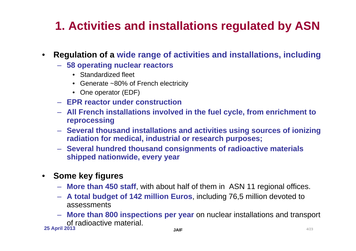#### **1. Activities and installations regulated by ASN**

- • **Regulation of a wide range of activities and installations, including**
	- **58 operating nuclear reactors**
		- Standardized fleet
		- Generate ~80% of French electricity
		- One operator (EDF)
	- **EPR reactor under construction**
	- **All French installations involved in the fuel cycle, from enrichment to reprocessing**
	- **Several thousand installations and activities using sources of ionizing radiation for medical, industrial or research purposes;**
	- **Several hundred thousand consignments of radioactive materials shipped nationwide, every year**
- **Some key figures** 
	- **More than 450 staff**, with about half of them in ASN 11 regional offices.
	- **A total budget of 142 million Euros**, including 76,5 million devoted to assessments
	- **More than 800 inspections per year** on nuclear installations and transport of radioactive material.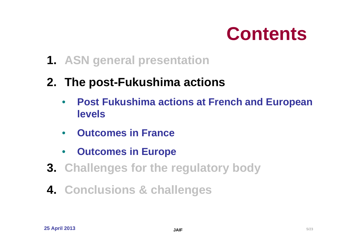

**1. ASN general presentation**

#### **2. The post-Fukushima actions**

- $\bullet$  **Post Fukushima actions at French and European levels**
- **Outcomes in France**
- •**Outcomes in Europe**
- **3. Challenges for the regulatory body**
- **4. Conclusions & challenges**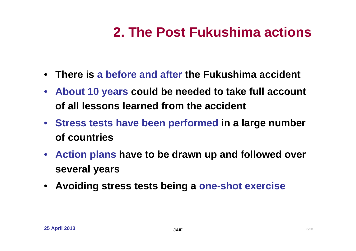## **2. The Post Fukushima actions**

- **There is a before and after the Fukushima accident**
- **About 10 years could be needed to take full account of all lessons learned from the accident**
- **Stress tests have been performed in a large number of countries**
- **Action plans have to be drawn up and followed over several years**
- **Avoiding stress tests being a one-shot exercise**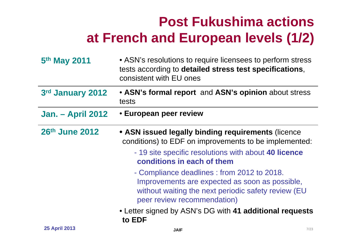## **Post Fukushima actions at French and European levels (1/2)**

| 5 <sup>th</sup> May 2011 | • ASN's resolutions to require licensees to perform stress<br>tests according to detailed stress test specifications,<br>consistent with EU ones                                                                                                                                                                                                                                                                                                             |
|--------------------------|--------------------------------------------------------------------------------------------------------------------------------------------------------------------------------------------------------------------------------------------------------------------------------------------------------------------------------------------------------------------------------------------------------------------------------------------------------------|
| 3rd January 2012         | • ASN's formal report and ASN's opinion about stress<br>tests                                                                                                                                                                                                                                                                                                                                                                                                |
| <b>Jan. – April 2012</b> | • European peer review                                                                                                                                                                                                                                                                                                                                                                                                                                       |
| 26th June 2012           | • ASN issued legally binding requirements (licence<br>conditions) to EDF on improvements to be implemented:<br>- 19 site specific resolutions with about 40 licence<br>conditions in each of them<br>- Compliance deadlines: from 2012 to 2018.<br>Improvements are expected as soon as possible,<br>without waiting the next periodic safety review (EU<br>peer review recommendation)<br>• Letter signed by ASN's DG with 41 additional requests<br>to EDF |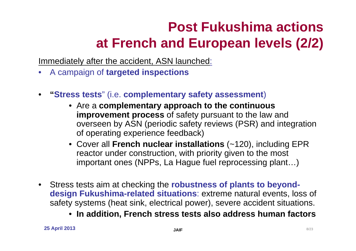## **Post Fukushima actionsat French and European levels (2/2)**

Immediately after the accident, ASN launched:

- •A campaign of **targeted inspections**
- • **"Stress tests**" (i.e. **complementary safety assessment**)
	- Are a **complementary approach to the continuous improvement process** of safety pursuant to the law and overseen by ASN (periodic safety reviews (PSR) and integration of operating experience feedback)
	- Cover all **French nuclear installations** (~120), including EPR reactor under construction, with priority given to the most important ones (NPPs, La Hague fuel reprocessing plant…)
- $\bullet$  Stress tests aim at checking the **robustness of plants to beyonddesign Fukushima-related situations**: extreme natural events, loss of safety systems (heat sink, electrical power), severe accident situations.
	- **In addition, French stress tests also address human factors**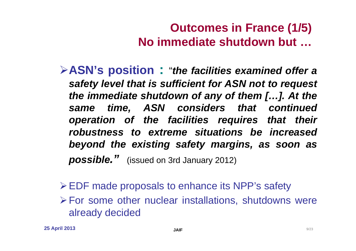#### **Outcomes in France (1/5) No immediate shutdown but …**

- **ASN's position :** "*the facilities examined offer a safety level that is sufficient for ASN not to request the immediate shutdown of any of them […]. At the same time, ASN considers that continued operation of the facilities requires that their robustness to extreme situations be increased beyond the existing safety margins, as soon as possible."* (issued on 3rd January 2012)
- EDF made proposals to enhance its NPP's safety For some other nuclear installations, shutdowns were already decided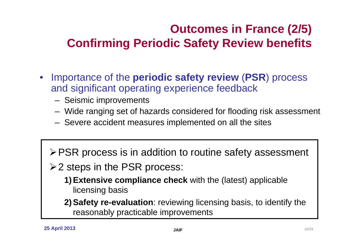#### **Outcomes in France (2/5) Confirming Periodic Safety Review benefits**

- $\bullet$  Importance of the **periodic safety review** (**PSR**) process and significant operating experience feedback
	- Seismic improvements
	- Wide ranging set of hazards considered for flooding risk assessment
	- Severe accident measures implemented on all the sites
	- **≻PSR process is in addition to routine safety assessment**
	- **≻2 steps in the PSR process:** 
		- **1) Extensive compliance check** with the (latest) applicable licensing basis
		- **2) Safety re-evaluation**: reviewing licensing basis, to identify the reasonably practicable improvements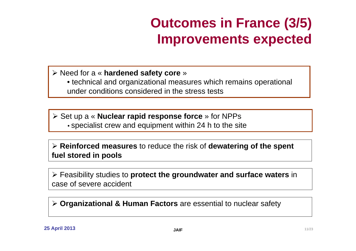## **Outcomes in France (3/5) Improvements expected**

Need for a « **hardened safety core** »

• technical and organizational measures which remains operational under conditions considered in the stress tests

 Set up a « **Nuclear rapid response force** » for NPPs • specialist crew and equipment within 24 h to the site

 **Reinforced measures** to reduce the risk of **dewatering of the spent fuel stored in pools**

 Feasibility studies to **protect the groundwater and surface waters** in case of severe accident

**Organizational & Human Factors** are essential to nuclear safety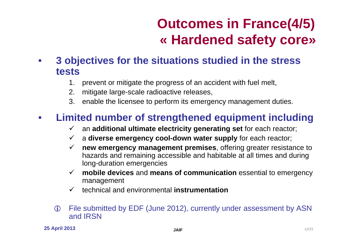## **Outcomes in France(4/5) « Hardened safety core»**

#### • **3 objectives for the situations studied in the stress tests**

- 1. prevent or mitigate the progress of an accident with fuel melt,
- 2. mitigate large-scale radioactive releases,
- 3. enable the licensee to perform its emergency management duties.

#### $\bullet$ **Limited number of strengthened equipment including**

- an **additional ultimate electricity generating set** for each reactor;
- <sup>a</sup>**diverse emergency cool-down water supply** for each reactor;
- **new emergency management premises**, offering greater resistance to hazards and remaining accessible and habitable at all times and during long-duration emergencies
- **mobile devices** and **means of communication** essential to emergency management
- technical and environmental **instrumentation**
- File submitted by EDF (June 2012), currently under assessment by ASN and IRSN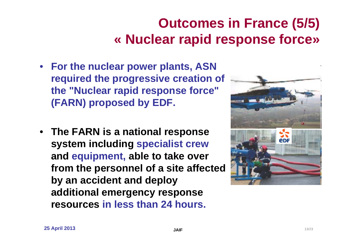## **Outcomes in France (5/5) « Nuclear rapid response force»**

- **For the nuclear power plants, ASN required the progressive creation of the "Nuclear rapid response force" (FARN) proposed by EDF.**
- **The FARN is a national response system including specialist crew and equipment, able to take over from the personnel of a site affected by an accident and deploy additional emergency response resources in less than 24 hours.**

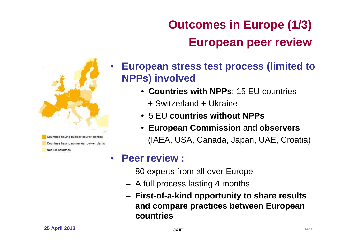

Countries having no nuclear power plants Non FII countries

#### **Outcomes in Europe (1/3) European peer review**

- **European stress test process (limited to NPPs) involved**
	- **Countries with NPPs**: 15 EU countries
		- + Switzerland + Ukraine
	- 5 EU **countries without NPPs**
	- **European Commission** and **observers** (IAEA, USA, Canada, Japan, UAE, Croatia)

#### • **Peer review :**

- 80 experts from all over Europe
- A full process lasting 4 months
- **First-of-a-kind opportunity to share results and compare practices between European countries**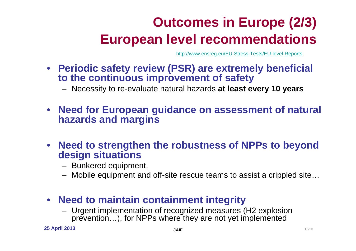## **Outcomes in Europe (2/3) European level recommendations**

http://www.ensreg.eu/EU-Stress-Tests/EU-level-Reports

• **Periodic safety review (PSR) are extremely beneficial to the continuous improvement of safety**

– Necessity to re-evaluate natural hazards **at least every 10 years**

- $\bullet$  **Need for European guidance on assessment of natural hazards and margins**
- • **Need to strengthen the robustness of NPPs to beyond design situations**
	- Bunkered equipment,
	- Mobile equipment and off-site rescue teams to assist a crippled site…

#### • **Need to maintain containment integrity**

– Urgent implementation of recognized measures (H2 explosion prevention...), for NPPs where they are not yet implemented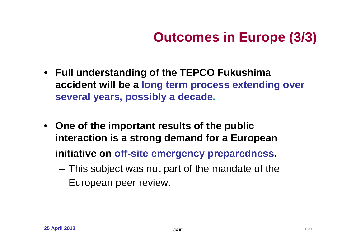## **Outcomes in Europe (3/3)**

- **Full understanding of the TEPCO Fukushima accident will be a long term process extending over several years, possibly a decade.**
- **One of the important results of the public interaction is a strong demand for a European initiative on off-site emergency preparedness.**
	- – This subject was not part of the mandate of the European peer review.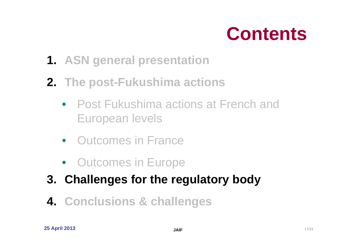

- **1. ASN general presentation**
- **2. The post-Fukushima actions**
	- Post Fukushima actions at French and European levels
	- Outcomes in France
	- Outcomes in Europe
- **3. Challenges for the regulatory body**
- **4. Conclusions & challenges**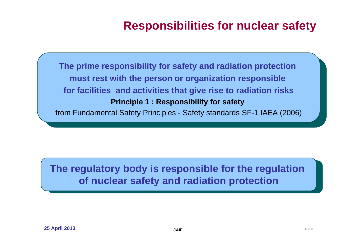#### **Responsibilities for nuclear safety**

**The prime responsibility for safety and radiation protection must rest with the person or organization responsible for facilities and activities that give rise to radiation risks Principle 1 : Responsibility for safety**  from Fundamental Safety Principles - Safety standards SF-1 IAEA (2006)

#### **The regulatory body is responsible for the regulation of nuclear safety and radiation protection**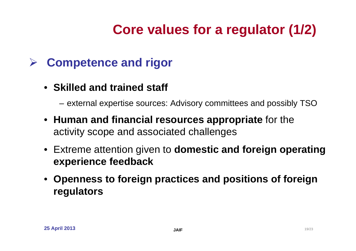## **Core values for a regulator (1/2)**

#### $\blacktriangleright$ **Competence and rigor**

• **Skilled and trained staff**

external expertise sources: Advisory committees and possibly TSO

- **Human and financial resources appropriate** for the activity scope and associated challenges
- Extreme attention given to **domestic and foreign operating experience feedback**
- **Openness to foreign practices and positions of foreign regulators**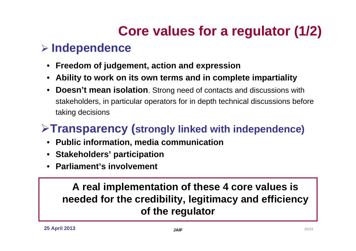## **Core values for a regulator (1/2)**

#### **Independence**

- $\bullet$ **Freedom of judgement, action and expression**
- •**Ability to work on its own terms and in complete impartiality**
- $\bullet$  **Doesn't mean isolation**. Strong need of contacts and discussions with stakeholders, in particular operators for in depth technical discussions before taking decisions

#### **Transparency (strongly linked with independence)**

- **Public information, media communication**
- •**Stakeholders' participation**
- **Parliament's involvement**

**A real implementation of these 4 core values is needed for the credibility, legitimacy and efficiency of the regulator**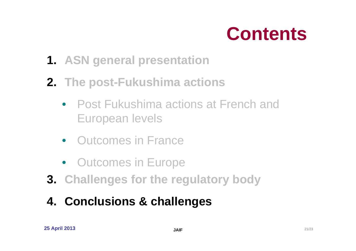

- **1. ASN general presentation**
- **2. The post-Fukushima actions**
	- Post Fukushima actions at French and European levels
	- Outcomes in France
	- Outcomes in Europe
- **3. Challenges for the regulatory body**
- **4. Conclusions & challenges**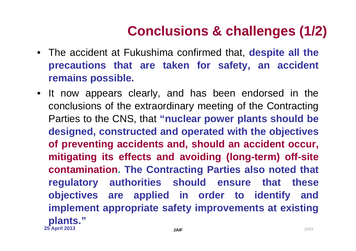## **Conclusions & challenges (1/2)**

- The accident at Fukushima confirmed that, **despite all the precautions that are taken for safety, an accident remains possible.**
- **25 April 2013 JAIFF** 22/23 • It now appears clearly, and has been endorsed in the conclusions of the extraordinary meeting of the Contracting Parties to the CNS, that **"nuclear power plants should be designed, constructed and operated with the objectives of preventing accidents and, should an accident occur, mitigating its effects and avoiding (long-term) off-site contamination. The Contracting Parties also noted that regulatory authorities should ensure that these objectives are applied in order to identify and implement appropriate safety improvements at existing plants."**